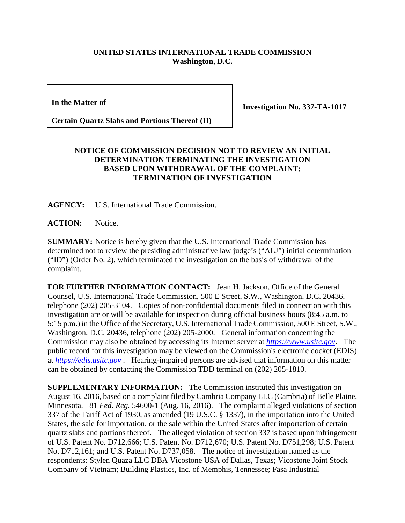## **UNITED STATES INTERNATIONAL TRADE COMMISSION Washington, D.C.**

**In the Matter of**

**Investigation No. 337-TA-1017**

**Certain Quartz Slabs and Portions Thereof (II)**

## **NOTICE OF COMMISSION DECISION NOT TO REVIEW AN INITIAL DETERMINATION TERMINATING THE INVESTIGATION BASED UPON WITHDRAWAL OF THE COMPLAINT; TERMINATION OF INVESTIGATION**

**AGENCY:** U.S. International Trade Commission.

**ACTION:** Notice.

**SUMMARY:** Notice is hereby given that the U.S. International Trade Commission has determined not to review the presiding administrative law judge's ("ALJ") initial determination ("ID") (Order No. 2), which terminated the investigation on the basis of withdrawal of the complaint.

**FOR FURTHER INFORMATION CONTACT:** Jean H. Jackson, Office of the General Counsel, U.S. International Trade Commission, 500 E Street, S.W., Washington, D.C. 20436, telephone (202) 205-3104. Copies of non-confidential documents filed in connection with this investigation are or will be available for inspection during official business hours (8:45 a.m. to 5:15 p.m.) in the Office of the Secretary, U.S. International Trade Commission, 500 E Street, S.W., Washington, D.C. 20436, telephone (202) 205-2000. General information concerning the Commission may also be obtained by accessing its Internet server at *[https://www.usitc.gov](https://www.usitc.gov/)*. The public record for this investigation may be viewed on the Commission's electronic docket (EDIS) at *[https://edis.usitc.gov](https://edis.usitc.gov/)* . Hearing-impaired persons are advised that information on this matter can be obtained by contacting the Commission TDD terminal on (202) 205-1810.

**SUPPLEMENTARY INFORMATION:** The Commission instituted this investigation on August 16, 2016, based on a complaint filed by Cambria Company LLC (Cambria) of Belle Plaine, Minnesota. 81 *Fed. Reg.* 54600-1 (Aug. 16, 2016). The complaint alleged violations of section 337 of the Tariff Act of 1930, as amended (19 U.S.C. § 1337), in the importation into the United States, the sale for importation, or the sale within the United States after importation of certain quartz slabs and portions thereof. The alleged violation of section 337 is based upon infringement of U.S. Patent No. D712,666; U.S. Patent No. D712,670; U.S. Patent No. D751,298; U.S. Patent No. D712,161; and U.S. Patent No. D737,058. The notice of investigation named as the respondents: Stylen Quaza LLC DBA Vicostone USA of Dallas, Texas; Vicostone Joint Stock Company of Vietnam; Building Plastics, Inc. of Memphis, Tennessee; Fasa Industrial